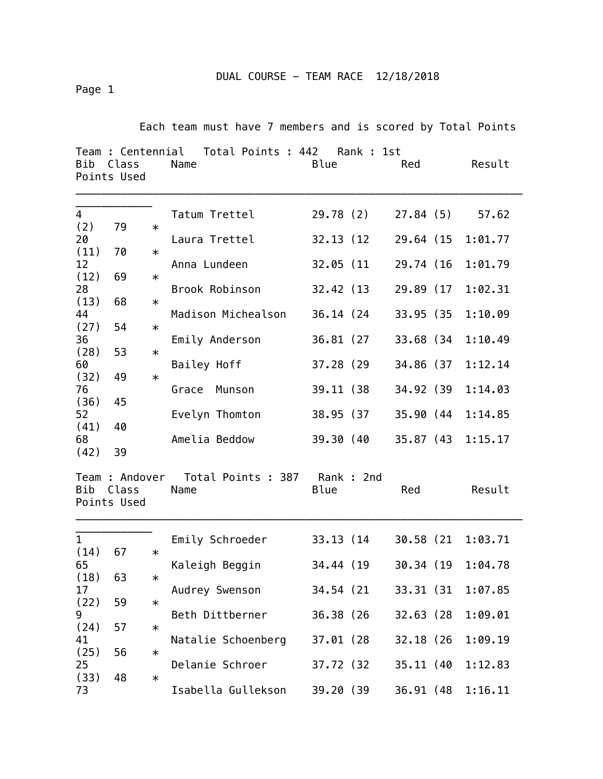DUAL COURSE - TEAM RACE 12/18/2018

Page 1

Each team must have 7 members and is scored by Total Points

| Team : Centennial Total Points : 442<br>Rank : 1st<br>Blue<br>Bib<br>Class<br>Name<br>Red<br>Points Used |                      |                  |                                                        |                          |           |                        |  | Result             |
|----------------------------------------------------------------------------------------------------------|----------------------|------------------|--------------------------------------------------------|--------------------------|-----------|------------------------|--|--------------------|
| 4<br>(2)                                                                                                 | 79                   | $\ast$           | Tatum Trettel                                          | 29.78 (2)<br>32.13 (12)  |           | 27.84(5)<br>29.64 (15  |  | 57.62<br>1:01.77   |
| (11)<br>12                                                                                               | 20<br>70             | $\ast$           | Laura Trettel<br>Anna Lundeen                          | 32.05 (11                |           | 29.74 (16              |  | 1:01.79            |
| (12)<br>28                                                                                               | 69                   | $\ast$           | Brook Robinson                                         | 32.42 (13)               |           | 29.89 (17              |  | 1:02.31            |
| (13)<br>44<br>(27)                                                                                       | 68                   | $\ast$<br>$\ast$ | Madison Michealson                                     | 36.14 (24)               |           | 33.95 (35              |  | 1:10.09            |
| 36<br>(28)                                                                                               | 54<br>53             | $\ast$           | Emily Anderson                                         | 36.81 (27)               |           | 33.68 (34              |  | 1:10.49            |
| 60<br>(32)                                                                                               | 49                   | $\ast$           | Bailey Hoff                                            | 37.28 (29)               |           | 34.86 (37              |  | 1:12.14            |
| 76<br>(36)<br>52                                                                                         | 45                   |                  | Grace<br>Munson<br>Evelyn Thomton                      | 39.11 (38)<br>38.95 (37) |           | 34.92 (39<br>35.90 (44 |  | 1:14.03<br>1:14.85 |
| (41)<br>68                                                                                               | 40<br>39             |                  | Amelia Beddow                                          | 39.30 (40                |           | 35.87 (43              |  | 1:15.17            |
| (42)<br>Bib                                                                                              | Class<br>Points Used |                  | Team : Andover  Total Points : 387  Rank : 2nd<br>Name | Blue                     |           | Red                    |  | Result             |
| $\mathbf{1}$<br>(14)                                                                                     | 67                   | $\ast$           | Emily Schroeder                                        | 33.13 (14)               |           | 30.58 (21              |  | 1:03.71            |
| 65<br>(18)<br>17<br>(22)<br>9<br>(24)<br>41<br>(25)<br>25                                                | 63                   | $\ast$           | Kaleigh Beggin                                         |                          | 34.44 (19 | 30.34 (19              |  | 1:04.78            |
|                                                                                                          | 59                   | $\ast$           | Audrey Swenson                                         | 34.54 (21                |           | 33.31 (31              |  | 1:07.85            |
|                                                                                                          | 57                   | $\ast$           | Beth Dittberner<br>Natalie Schoenberg                  | 36.38 (26)<br>37.01 (28) |           | 32.63 (28<br>32.18 (26 |  | 1:09.01<br>1:09.19 |
|                                                                                                          | 56                   | $\ast$           | Delanie Schroer                                        | 37.72 (32)               |           | 35.11 (40              |  | 1:12.83            |
| (33)<br>73                                                                                               | 48                   | $\ast$           | Isabella Gullekson                                     | 39.20 (39                |           | 36.91 (48              |  | 1:16.11            |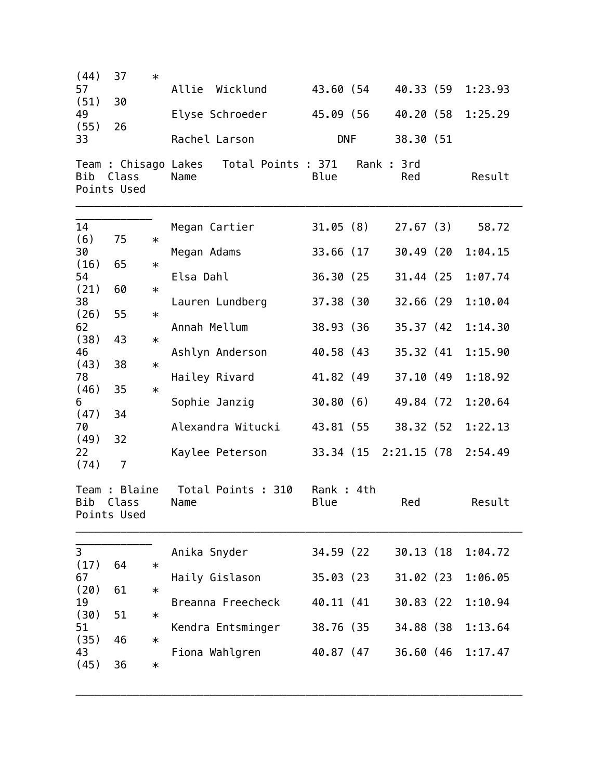| (44)<br>57<br>(51)<br>49<br>(55)<br>33<br>Bib        | 37<br>30<br>26<br>Class<br>Points Used | $\ast$                     | Allie Wicklund<br>Elyse Schroeder<br>Rachel Larson<br>Team : Chisago Lakes  Total Points : 371  Rank : 3rd<br>Name | 43.60 (54<br>45.09 (56<br><b>DNF</b><br>Blue |                       | 40.33 (59<br>40.20 (58<br>38.30 (51<br>Red | 1:23.93<br>1:25.29<br>Result |
|------------------------------------------------------|----------------------------------------|----------------------------|--------------------------------------------------------------------------------------------------------------------|----------------------------------------------|-----------------------|--------------------------------------------|------------------------------|
| 14                                                   |                                        |                            | Megan Cartier                                                                                                      | 31.05 (8)                                    |                       | 27.67(3)                                   | 58.72                        |
| (6)<br>30                                            | 75                                     | $\ast$                     | Megan Adams                                                                                                        | 33.66 (17                                    |                       | 30.49 (20                                  | 1:04.15                      |
| (16)<br>54                                           | 65                                     | $\ast$                     | Elsa Dahl                                                                                                          | 36.30 (25                                    |                       | 31.44 (25                                  | 1:07.74                      |
| (21)<br>38                                           | 60                                     | $\ast$                     | Lauren Lundberg                                                                                                    | 37.38 (30                                    |                       | 32.66 (29                                  | 1:10.04                      |
| (26)<br>62                                           | 55                                     | $\ast$                     | Annah Mellum                                                                                                       | 38.93 (36)                                   |                       | 35.37 (42)                                 | 1:14.30                      |
| (38)<br>46                                           | 43                                     | $\ast$                     | Ashlyn Anderson                                                                                                    | 40.58 (43                                    |                       | 35.32 (41)                                 | 1:15.90                      |
| (43)<br>78                                           | 38                                     | $\ast$                     | Hailey Rivard                                                                                                      | 41.82 (49                                    |                       | 37.10 (49                                  | 1:18.92                      |
| (46)<br>6                                            | 35                                     | $\ast$                     | Sophie Janzig                                                                                                      | 30.80(6)                                     |                       | 49.84 (72                                  | 1:20.64                      |
| (47)<br>70                                           | 34                                     |                            | Alexandra Witucki                                                                                                  |                                              | 43.81 (55             | 38.32 (52                                  | 1:22.13                      |
| (49)<br>22<br>(74)                                   | 32<br>7                                |                            | Kaylee Peterson                                                                                                    |                                              | 33.34 (15 2:21.15 (78 |                                            | 2:54.49                      |
| Bib                                                  | Team : Blaine<br>Class<br>Points Used  |                            | Total Points : 310<br>Name                                                                                         | Rank: 4th<br>Blue                            |                       | Red                                        | Result                       |
| 3                                                    |                                        |                            | Anika Snyder                                                                                                       | 34.59 (22)                                   |                       | 30.13 (18                                  | 1:04.72                      |
| (17)<br>67<br>(20)<br>19<br>(30)<br>51<br>(35)<br>43 | 64                                     | $\ast$<br>$\ast$<br>$\ast$ | Haily Gislason                                                                                                     | 35.03(23)                                    |                       | 31.02 (23                                  | 1:06.05                      |
|                                                      | 61                                     |                            | Breanna Freecheck                                                                                                  | 40.11 (41)                                   |                       | 30.83 (22)                                 | 1:10.94                      |
|                                                      | 51                                     |                            | Kendra Entsminger                                                                                                  | 38.76 (35                                    |                       | 34.88 (38                                  | 1:13.64                      |
|                                                      | 46                                     | $\ast$                     | Fiona Wahlgren                                                                                                     | 40.87 (47                                    |                       | 36.60 (46                                  | 1:17.47                      |
| (45)                                                 | 36                                     | $\ast$                     |                                                                                                                    |                                              |                       |                                            |                              |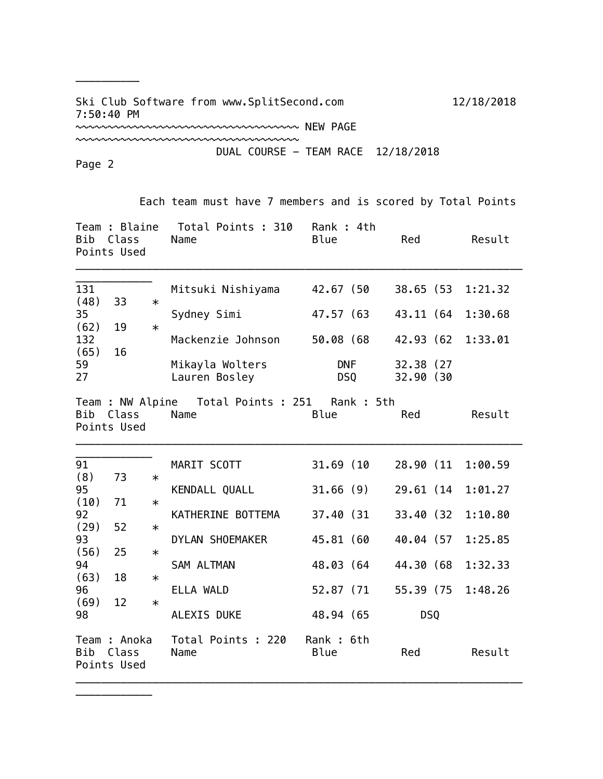Ski Club Software from www.SplitSecond.com 12/18/2018 7:50:40 PM

~~~~~~~~~~~~~~~~~~~~~~~~~~~~~~~~~~~~~ NEW PAGE

DUAL COURSE - TEAM RACE 12/18/2018

Page 2

Points Used

\_\_\_\_\_\_\_\_\_\_\_\_

\_\_\_\_\_\_\_\_\_\_

~~~~~~~~~~~~~~~~~~~~~~~~~~~~~~~~~~~

 Each team must have 7 members and is scored by Total Points Team : Blaine Total Points : 310 Rank : 4th Bib Class Name Blue Red Result Points Used \_\_\_\_\_\_\_\_\_\_\_\_\_\_\_\_\_\_\_\_\_\_\_\_\_\_\_\_\_\_\_\_\_\_\_\_\_\_\_\_\_\_\_\_\_\_\_\_\_\_\_\_\_\_\_\_\_\_\_\_\_\_\_\_\_\_\_\_\_\_ \_\_\_\_\_\_\_\_\_\_\_\_ 131 Mitsuki Nishiyama 42.67 (50 38.65 (53 1:21.32 (48) 33 \* 35 Sydney Simi 47.57 (63 43.11 (64 1:30.68 (62) 19 \* 132 Mackenzie Johnson 50.08 (68 42.93 (62 1:33.01 (65) 16 59 Mikayla Wolters DNF 32.38 (27 27 Lauren Bosley DSQ 32.90 (30 Team : NW Alpine Total Points : 251 Rank : 5th Bib Class Name Blue Red Result Points Used \_\_\_\_\_\_\_\_\_\_\_\_\_\_\_\_\_\_\_\_\_\_\_\_\_\_\_\_\_\_\_\_\_\_\_\_\_\_\_\_\_\_\_\_\_\_\_\_\_\_\_\_\_\_\_\_\_\_\_\_\_\_\_\_\_\_\_\_\_\_ \_\_\_\_\_\_\_\_\_\_\_\_ 91 MARIT SCOTT 31.69 (10 28.90 (11 1:00.59 (8) 73 \* 95 KENDALL QUALL 31.66 (9) 29.61 (14 1:01.27  $(10)$  71 \* 92 KATHERINE BOTTEMA 37.40 (31 33.40 (32 1:10.80  $(29)$  52  $*$ 93 DYLAN SHOEMAKER 45.81 (60 40.04 (57 1:25.85  $(56)$  25  $*$ 94 SAM ALTMAN 48.03 (64 44.30 (68 1:32.33  $(63)$  18  $*$ 96 ELLA WALD 52.87 (71 55.39 (75 1:48.26  $(69)$  12  $*$ 98 ALEXIS DUKE 48.94 (65 DSQ Team : Anoka Total Points : 220 Rank : 6th Bib Class Name Blue Red Result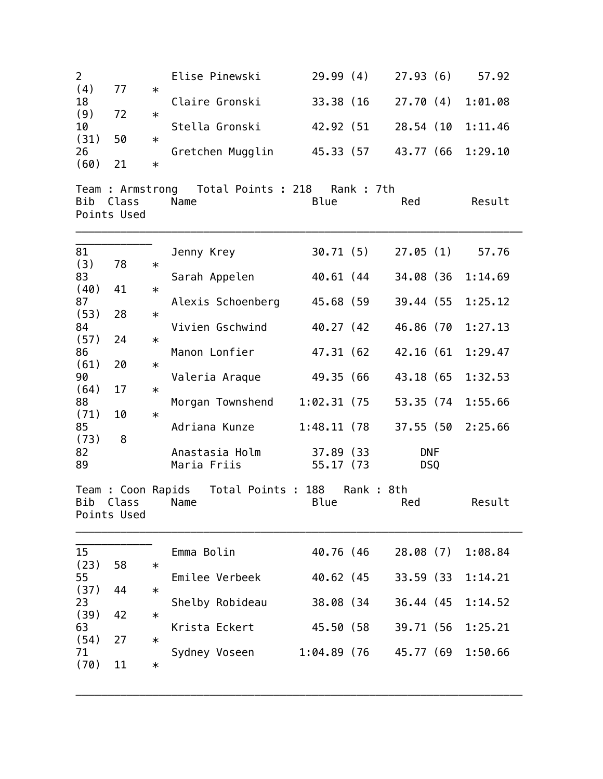| $\overline{2}$<br>(4)<br>18<br>(9)<br>10<br>(31)<br>26<br>(60)                                                          | 77<br>72<br>50<br>21                        | $\ast$<br>$\ast$<br>$\ast$<br>$\ast$                               | Elise Pinewski<br>Claire Gronski<br>Stella Gronski<br>Gretchen Mugglin                                                                                                       | 29.99(4)<br>33.38 (16<br>42.92 (51                                                                                                  | 27.93(6)<br>27.70(4)<br>28.54 (10<br>45.33 (57 43.77 (66                                                           | 57.92<br>1:01.08<br>1:11.46<br>1:29.10                                                       |
|-------------------------------------------------------------------------------------------------------------------------|---------------------------------------------|--------------------------------------------------------------------|------------------------------------------------------------------------------------------------------------------------------------------------------------------------------|-------------------------------------------------------------------------------------------------------------------------------------|--------------------------------------------------------------------------------------------------------------------|----------------------------------------------------------------------------------------------|
| Bib                                                                                                                     | Class<br>Points Used                        |                                                                    | Team : Armstrong  Total Points : 218  Rank : 7th<br>Name                                                                                                                     | Blue                                                                                                                                | Red                                                                                                                | Result                                                                                       |
| 81<br>(3)<br>83<br>(40)<br>87<br>(53)<br>84<br>(57)<br>86<br>(61)<br>90<br>(64)<br>88<br>(71)<br>85<br>(73)<br>82<br>89 | 78<br>41<br>28<br>24<br>20<br>17<br>10<br>8 | $\ast$<br>$\ast$<br>$\ast$<br>$\ast$<br>$\ast$<br>$\ast$<br>$\ast$ | Jenny Krey<br>Sarah Appelen<br>Alexis Schoenberg<br>Vivien Gschwind<br>Manon Lonfier<br>Valeria Araque<br>Morgan Townshend<br>Adriana Kunze<br>Anastasia Holm<br>Maria Friis | 30.71 (5)<br>40.61 (44<br>45.68 (59<br>40.27 (42<br>47.31 (62<br>49.35 (66<br>1:02.31 (75<br>1:48.11 (78<br>37.89 (33)<br>55.17 (73 | 27.05(1)<br>34.08 (36<br>39.44 (55<br>46.86 (70<br>42.16 (61<br>43.18 (65<br>53.35 (74<br><b>DNF</b><br><b>DSQ</b> | 57.76<br>1:14.69<br>1:25.12<br>1:27.13<br>1:29.47<br>1:32.53<br>1:55.66<br>37.55 (50 2:25.66 |
| Bib                                                                                                                     | Class<br>Points Used                        |                                                                    | Team : Coon Rapids Total Points : 188<br>Name                                                                                                                                | Blue                                                                                                                                | Rank : 8th<br>Red                                                                                                  | Result                                                                                       |
| 15<br>(23)<br>55<br>(37)<br>23<br>(39)<br>63<br>(54)<br>71<br>(70)                                                      | 58<br>44<br>42<br>27<br>11                  | $\ast$<br>$\ast$<br>$\ast$<br>$\ast$<br>$\ast$                     | Emma Bolin<br>Emilee Verbeek<br>Shelby Robideau<br>Krista Eckert<br>Sydney Voseen                                                                                            | 40.76 (46<br>40.62 (45<br>38.08 (34<br>45.50 (58<br>1:04.89 (76                                                                     | 28.08(7)<br>33.59 (33)<br>36.44 (45<br>39.71 (56<br>45.77 (69                                                      | 1:08.84<br>1:14.21<br>1:14.52<br>1:25.21<br>1:50.66                                          |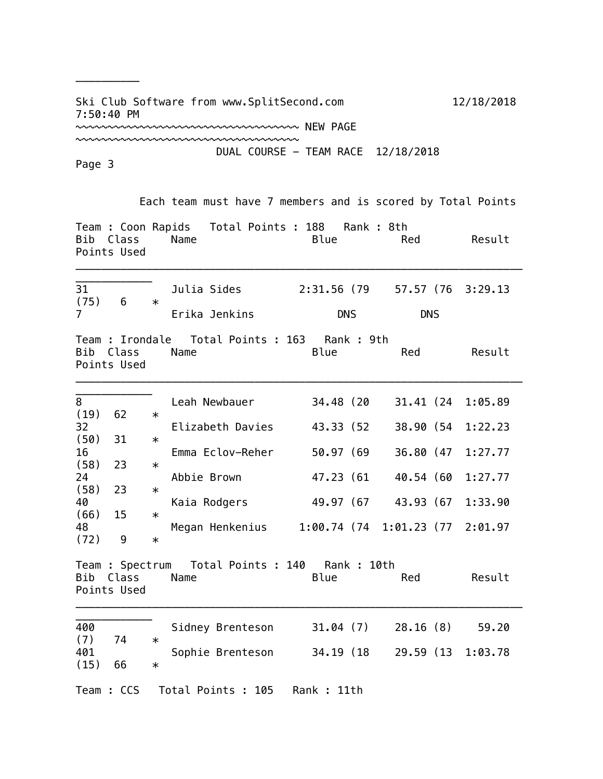Ski Club Software from www.SplitSecond.com 12/18/2018 7:50:40 PM

~~~~~~~~~~~~~~~~~~~~~~~~~~~~~~~~~~~~~ NEW PAGE

DUAL COURSE - TEAM RACE 12/18/2018

Page 3

\_\_\_\_\_\_\_\_\_\_

~~~~~~~~~~~~~~~~~~~~~~~~~~~~~~~~~~~

 Each team must have 7 members and is scored by Total Points Team : Coon Rapids Total Points : 188 Rank : 8th Bib Class Name Blue Red Result Points Used \_\_\_\_\_\_\_\_\_\_\_\_\_\_\_\_\_\_\_\_\_\_\_\_\_\_\_\_\_\_\_\_\_\_\_\_\_\_\_\_\_\_\_\_\_\_\_\_\_\_\_\_\_\_\_\_\_\_\_\_\_\_\_\_\_\_\_\_\_\_ \_\_\_\_\_\_\_\_\_\_\_\_ 31 Julia Sides 2:31.56 (79 57.57 (76 3:29.13 (75) 6 \* 7 Erika Jenkins DNS DNS Team : Irondale Total Points : 163 Rank : 9th Bib Class Name Blue Red Result Points Used \_\_\_\_\_\_\_\_\_\_\_\_\_\_\_\_\_\_\_\_\_\_\_\_\_\_\_\_\_\_\_\_\_\_\_\_\_\_\_\_\_\_\_\_\_\_\_\_\_\_\_\_\_\_\_\_\_\_\_\_\_\_\_\_\_\_\_\_\_\_ \_\_\_\_\_\_\_\_\_\_\_\_ 8 Leah Newbauer 34.48 (20 31.41 (24 1:05.89  $(19) 62 *$ 32 Elizabeth Davies 43.33 (52 38.90 (54 1:22.23  $(50)$  31  $*$ 16 Emma Eclov-Reher 50.97 (69 36.80 (47 1:27.77  $(58)$  23  $*$ 24 Abbie Brown 47.23 (61 40.54 (60 1:27.77  $(58)$  23  $*$ 40 Kaia Rodgers 49.97 (67 43.93 (67 1:33.90  $(66)$  15  $*$ 48 Megan Henkenius 1:00.74 (74 1:01.23 (77 2:01.97  $(72)$  9  $*$ Team : Spectrum Total Points : 140 Rank : 10th Bib Class Name Blue Red Result Points Used

\_\_\_\_\_\_\_\_\_\_\_\_ 400 Sidney Brenteson 31.04 (7) 28.16 (8) 59.20 (7) 74 \* 401 Sophie Brenteson 34.19 (18 29.59 (13 1:03.78  $(15) 66 *$ Team : CCS Total Points : 105 Rank : 11th